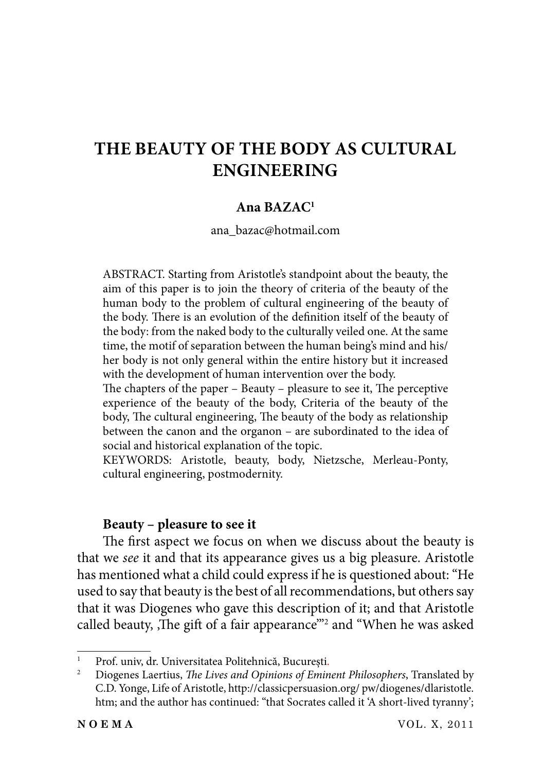# **THE BEAUTY OF THE BODY AS CULTURAL ENGINEERING**

## **Ana BAZAC1**

ana\_bazac@hotmail.com

ABSTRACT. Starting from Aristotle's standpoint about the beauty, the aim of this paper is to join the theory of criteria of the beauty of the human body to the problem of cultural engineering of the beauty of the body. There is an evolution of the definition itself of the beauty of the body: from the naked body to the culturally veiled one. At the same time, the motif of separation between the human being's mind and his/ her body is not only general within the entire history but it increased with the development of human intervention over the body.

The chapters of the paper  $-$  Beauty  $-$  pleasure to see it, The perceptive experience of the beauty of the body, Criteria of the beauty of the body, The cultural engineering, The beauty of the body as relationship between the canon and the organon – are subordinated to the idea of social and historical explanation of the topic.

KEYWORDS: Aristotle, beauty, body, Nietzsche, Merleau-Ponty, cultural engineering, postmodernity.

#### **Beauty – pleasure to see it**

The first aspect we focus on when we discuss about the beauty is that we *see* it and that its appearance gives us a big pleasure. Aristotle has mentioned what a child could express if he is questioned about: "He used to say that beauty is the best of all recommendations, but others say that it was Diogenes who gave this description of it; and that Aristotle called beauty, , The gift of a fair appearance"<sup>22</sup> and "When he was asked

<sup>1</sup> Prof. univ, dr. Universitatea Politehnică, București.

 $\overline{2}$ Diogenes Laertius, *The Lives and Opinions of Eminent Philosophers*, Translated by C.D. Yonge, Life of Aristotle, http://classicpersuasion.org/ pw/diogenes/dlaristotle. htm; and the author has continued: "that Socrates called it 'A short-lived tyranny';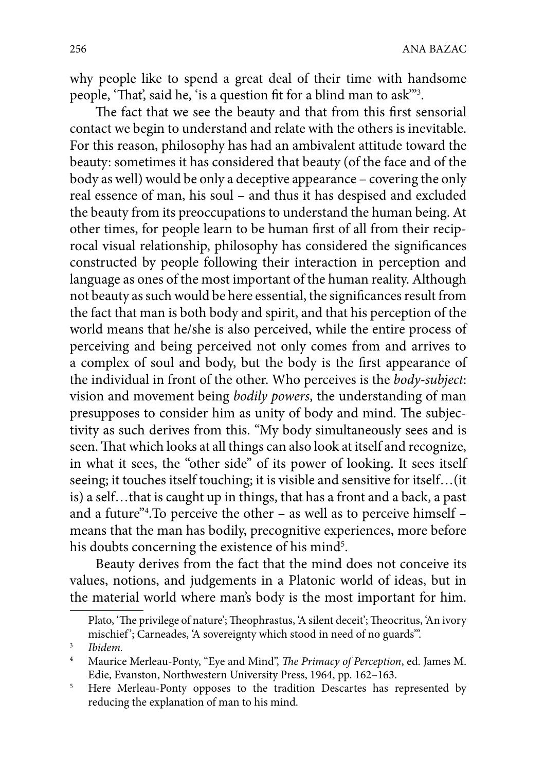why people like to spend a great deal of their time with handsome people, 'That', said he, 'is a question fit for a blind man to ask'"3.

The fact that we see the beauty and that from this first sensorial contact we begin to understand and relate with the others is inevitable. For this reason, philosophy has had an ambivalent attitude toward the beauty: sometimes it has considered that beauty (of the face and of the body as well) would be only a deceptive appearance – covering the only real essence of man, his soul – and thus it has despised and excluded the beauty from its preoccupations to understand the human being. At other times, for people learn to be human first of all from their reciprocal visual relationship, philosophy has considered the significances constructed by people following their interaction in perception and language as ones of the most important of the human reality. Although not beauty as such would be here essential, the significances result from the fact that man is both body and spirit, and that his perception of the world means that he/she is also perceived, while the entire process of perceiving and being perceived not only comes from and arrives to a complex of soul and body, but the body is the first appearance of the individual in front of the other. Who perceives is the *body-subject*: vision and movement being *bodily powers*, the understanding of man presupposes to consider him as unity of body and mind. The subjectivity as such derives from this. "My body simultaneously sees and is seen. That which looks at all things can also look at itself and recognize, in what it sees, the "other side" of its power of looking. It sees itself seeing; it touches itself touching; it is visible and sensitive for itself…(it is) a self…that is caught up in things, that has a front and a back, a past and a future"4 .To perceive the other – as well as to perceive himself – means that the man has bodily, precognitive experiences, more before his doubts concerning the existence of his mind $^5$ .

Beauty derives from the fact that the mind does not conceive its values, notions, and judgements in a Platonic world of ideas, but in the material world where man's body is the most important for him.

Plato, 'The privilege of nature'; Theophrastus, 'A silent deceit'; Theocritus, 'An ivory mischief '; Carneades, 'A sovereignty which stood in need of no guards'".

<sup>3</sup> *Ibidem.*

<sup>4</sup> Maurice Merleau-Ponty, "Eye and Mind", *The Primacy of Perception*, ed. James M. Edie, Evanston, Northwestern University Press, 1964, pp. 162–163.

<sup>5</sup> Here Merleau-Ponty opposes to the tradition Descartes has represented by reducing the explanation of man to his mind.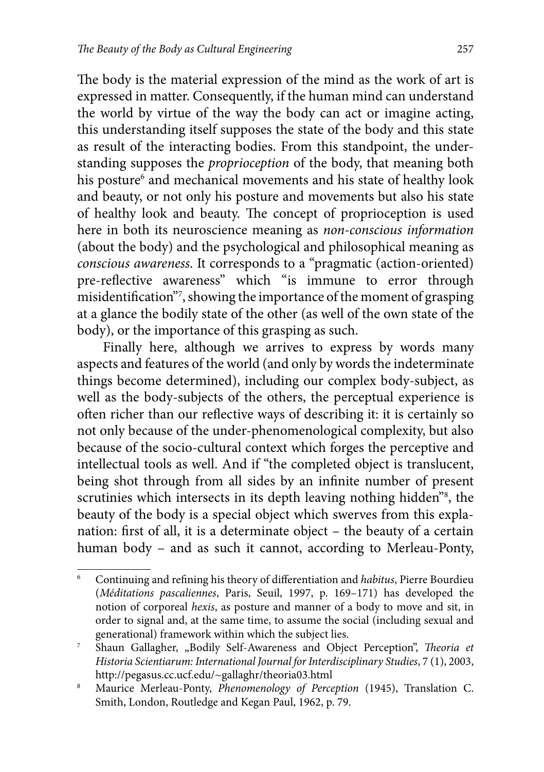The body is the material expression of the mind as the work of art is expressed in matter. Consequently, if the human mind can understand the world by virtue of the way the body can act or imagine acting, this understanding itself supposes the state of the body and this state as result of the interacting bodies. From this standpoint, the understanding supposes the *proprioception* of the body, that meaning both his posture<sup>6</sup> and mechanical movements and his state of healthy look and beauty, or not only his posture and movements but also his state of healthy look and beauty. The concept of proprioception is used here in both its neuroscience meaning as *non-conscious information* (about the body) and the psychological and philosophical meaning as *conscious awareness*. It corresponds to a "pragmatic (action-oriented) pre-reflective awareness" which "is immune to error through misidentification"<sup>7</sup>, showing the importance of the moment of grasping at a glance the bodily state of the other (as well of the own state of the body), or the importance of this grasping as such.

Finally here, although we arrives to express by words many aspects and features of the world (and only by words the indeterminate things become determined), including our complex body-subject, as well as the body-subjects of the others, the perceptual experience is often richer than our reflective ways of describing it: it is certainly so not only because of the under-phenomenological complexity, but also because of the socio-cultural context which forges the perceptive and intellectual tools as well. And if "the completed object is translucent, being shot through from all sides by an infinite number of present scrutinies which intersects in its depth leaving nothing hidden<sup>38</sup>, the beauty of the body is a special object which swerves from this explanation: first of all, it is a determinate object - the beauty of a certain human body – and as such it cannot, according to Merleau-Ponty,

<sup>6</sup> Continuing and refining his theory of differentiation and *habitus*, Pierre Bourdieu (*Méditations pascaliennes*, Paris, Seuil, 1997, p. 169–171) has developed the notion of corporeal *hexis*, as posture and manner of a body to move and sit, in order to signal and, at the same time, to assume the social (including sexual and generational) framework within which the subject lies.

<sup>7</sup> Shaun Gallagher, "Bodily Self-Awareness and Object Perception", *Theoria et Historia Scientiarum: International Journal for Interdisciplinary Studies*, 7 (1), 2003, http://pegasus.cc.ucf.edu/~gallaghr/theoria03.html

<sup>8</sup> Maurice Merleau-Ponty, *Phenomenology of Perception* (1945), Translation C. Smith, London, Routledge and Kegan Paul, 1962, p. 79.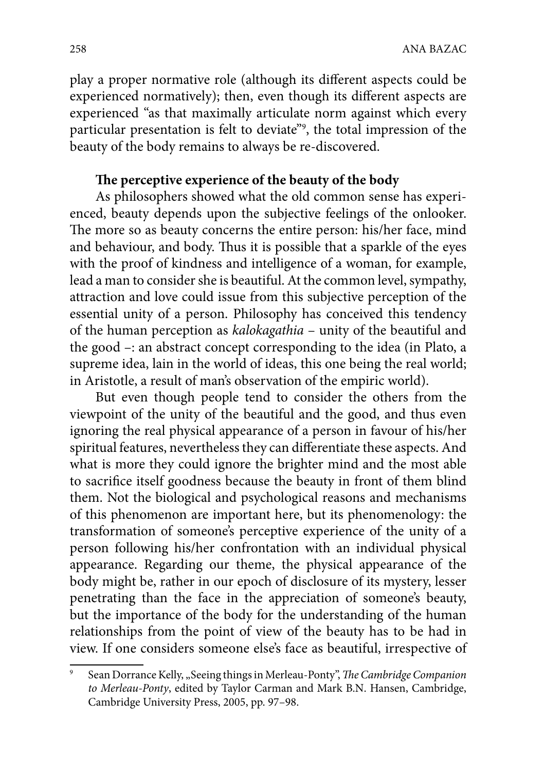play a proper normative role (although its different aspects could be experienced normatively); then, even though its different aspects are experienced "as that maximally articulate norm against which every particular presentation is felt to deviate"9 , the total impression of the beauty of the body remains to always be re-discovered.

## The perceptive experience of the beauty of the body

As philosophers showed what the old common sense has experienced, beauty depends upon the subjective feelings of the onlooker. The more so as beauty concerns the entire person: his/her face, mind and behaviour, and body. Thus it is possible that a sparkle of the eyes with the proof of kindness and intelligence of a woman, for example, lead a man to consider she is beautiful. At the common level, sympathy, attraction and love could issue from this subjective perception of the essential unity of a person. Philosophy has conceived this tendency of the human perception as *kalokagathia* – unity of the beautiful and the good –: an abstract concept corresponding to the idea (in Plato, a supreme idea, lain in the world of ideas, this one being the real world; in Aristotle, a result of man's observation of the empiric world).

But even though people tend to consider the others from the viewpoint of the unity of the beautiful and the good, and thus even ignoring the real physical appearance of a person in favour of his/her spiritual features, nevertheless they can differentiate these aspects. And what is more they could ignore the brighter mind and the most able to sacrifice itself goodness because the beauty in front of them blind them. Not the biological and psychological reasons and mechanisms of this phenomenon are important here, but its phenomenology: the transformation of someone's perceptive experience of the unity of a person following his/her confrontation with an individual physical appearance. Regarding our theme, the physical appearance of the body might be, rather in our epoch of disclosure of its mystery, lesser penetrating than the face in the appreciation of someone's beauty, but the importance of the body for the understanding of the human relationships from the point of view of the beauty has to be had in view. If one considers someone else's face as beautiful, irrespective of

<sup>9</sup> Sean Dorrance Kelly, "Seeing things in Merleau-Ponty", *The Cambridge Companion to Merleau-Ponty*, edited by Taylor Carman and Mark B.N. Hansen, Cambridge, Cambridge University Press, 2005, pp. 97–98.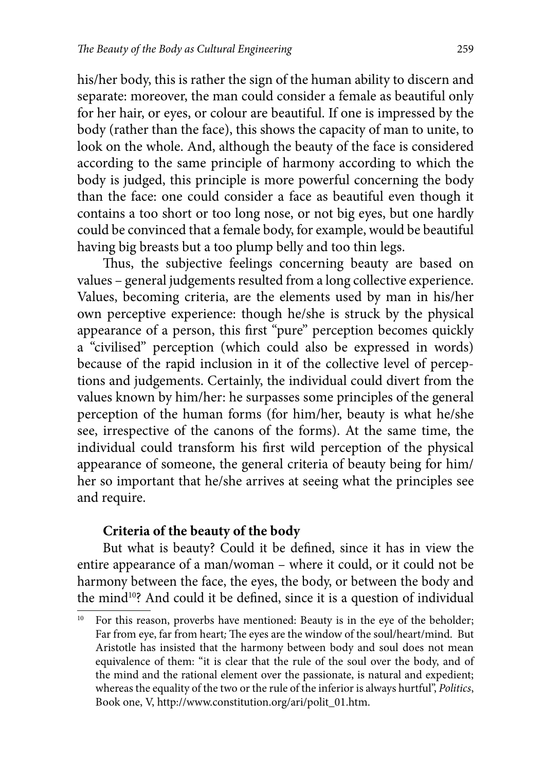his/her body, this is rather the sign of the human ability to discern and separate: moreover, the man could consider a female as beautiful only for her hair, or eyes, or colour are beautiful. If one is impressed by the body (rather than the face), this shows the capacity of man to unite, to look on the whole. And, although the beauty of the face is considered according to the same principle of harmony according to which the body is judged, this principle is more powerful concerning the body than the face: one could consider a face as beautiful even though it contains a too short or too long nose, or not big eyes, but one hardly could be convinced that a female body, for example, would be beautiful having big breasts but a too plump belly and too thin legs.

Thus, the subjective feelings concerning beauty are based on values – general judgements resulted from a long collective experience. Values, becoming criteria, are the elements used by man in his/her own perceptive experience: though he/she is struck by the physical appearance of a person, this first "pure" perception becomes quickly a "civilised" perception (which could also be expressed in words) because of the rapid inclusion in it of the collective level of perceptions and judgements. Certainly, the individual could divert from the values known by him/her: he surpasses some principles of the general perception of the human forms (for him/her, beauty is what he/she see, irrespective of the canons of the forms). At the same time, the individual could transform his first wild perception of the physical appearance of someone, the general criteria of beauty being for him/ her so important that he/she arrives at seeing what the principles see and require.

### **Criteria of the beauty of the body**

But what is beauty? Could it be defined, since it has in view the entire appearance of a man/woman – where it could, or it could not be harmony between the face, the eyes, the body, or between the body and the mind<sup>10</sup>? And could it be defined, since it is a question of individual

For this reason, proverbs have mentioned: Beauty is in the eye of the beholder; Far from eye, far from heart; The eyes are the window of the soul/heart/mind. But Aristotle has insisted that the harmony between body and soul does not mean equivalence of them: "it is clear that the rule of the soul over the body, and of the mind and the rational element over the passionate, is natural and expedient; whereas the equality of the two or the rule of the inferior is always hurtful", *Politics*, Book one, V, http://www.constitution.org/ari/polit\_01.htm.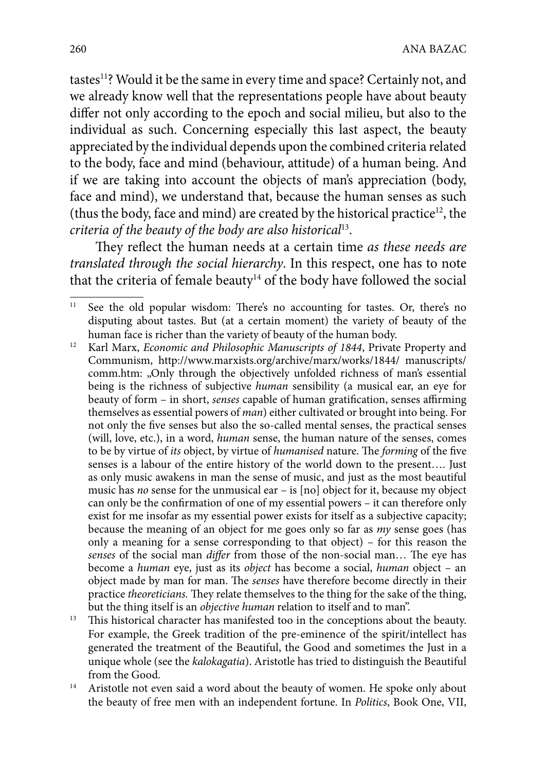tastes<sup>11</sup>? Would it be the same in every time and space? Certainly not, and we already know well that the representations people have about beauty differ not only according to the epoch and social milieu, but also to the individual as such. Concerning especially this last aspect, the beauty appreciated by the individual depends upon the combined criteria related to the body, face and mind (behaviour, attitude) of a human being. And if we are taking into account the objects of man's appreciation (body, face and mind), we understand that, because the human senses as such (thus the body, face and mind) are created by the historical practice<sup>12</sup>, the *criteria of the beauty of the body are also historical*13.

They reflect the human needs at a certain time *as these needs are translated through the social hierarchy*. In this respect, one has to note that the criteria of female beauty<sup>14</sup> of the body have followed the social

- <sup>12</sup> Karl Marx, *Economic and Philosophic Manuscripts of 1844*, Private Property and Communism, http://www.marxists.org/archive/marx/works/1844/ manuscripts/ comm.htm: "Only through the objectively unfolded richness of man's essential being is the richness of subjective *human* sensibility (a musical ear, an eye for beauty of form – in short, *senses* capable of human gratification, senses affirming themselves as essential powers of *man*) either cultivated or brought into being. For not only the five senses but also the so-called mental senses, the practical senses (will, love, etc.), in a word, *human* sense, the human nature of the senses, comes to be by virtue of *its* object, by virtue of *humanised* nature. The *forming* of the five senses is a labour of the entire history of the world down to the present…. Just as only music awakens in man the sense of music, and just as the most beautiful music has *no* sense for the unmusical ear – is [no] object for it, because my object can only be the confirmation of one of my essential powers – it can therefore only exist for me insofar as my essential power exists for itself as a subjective capacity; because the meaning of an object for me goes only so far as *my* sense goes (has only a meaning for a sense corresponding to that object) – for this reason the *senses* of the social man *differ* from those of the non-social man... The eye has become a *human* eye, just as its *object* has become a social, *human* object – an object made by man for man. The *senses* have therefore become directly in their practice *theoreticians*. They relate themselves to the thing for the sake of the thing, but the thing itself is an *objective human* relation to itself and to man".
- $13$  This historical character has manifested too in the conceptions about the beauty. For example, the Greek tradition of the pre-eminence of the spirit/intellect has generated the treatment of the Beautiful, the Good and sometimes the Just in a unique whole (see the *kalokagatia*). Aristotle has tried to distinguish the Beautiful from the Good.
- <sup>14</sup> Aristotle not even said a word about the beauty of women. He spoke only about the beauty of free men with an independent fortune. In *Politics*, Book One, VII,

<sup>&</sup>lt;sup>11</sup> See the old popular wisdom: There's no accounting for tastes. Or, there's no disputing about tastes. But (at a certain moment) the variety of beauty of the human face is richer than the variety of beauty of the human body.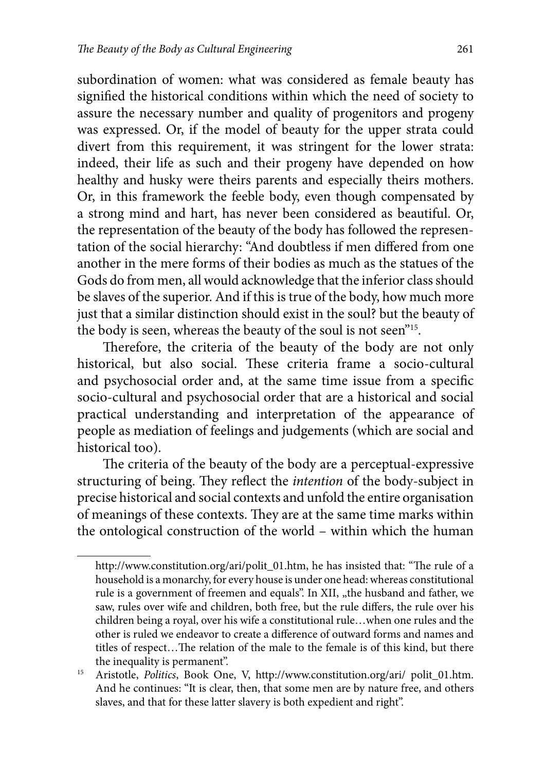subordination of women: what was considered as female beauty has signified the historical conditions within which the need of society to assure the necessary number and quality of progenitors and progeny was expressed. Or, if the model of beauty for the upper strata could divert from this requirement, it was stringent for the lower strata: indeed, their life as such and their progeny have depended on how healthy and husky were theirs parents and especially theirs mothers. Or, in this framework the feeble body, even though compensated by a strong mind and hart, has never been considered as beautiful. Or, the representation of the beauty of the body has followed the representation of the social hierarchy: "And doubtless if men differed from one another in the mere forms of their bodies as much as the statues of the Gods do from men, all would acknowledge that the inferior class should be slaves of the superior. And if this is true of the body, how much more just that a similar distinction should exist in the soul? but the beauty of the body is seen, whereas the beauty of the soul is not seen"15.

Therefore, the criteria of the beauty of the body are not only historical, but also social. These criteria frame a socio-cultural and psychosocial order and, at the same time issue from a specific socio-cultural and psychosocial order that are a historical and social practical understanding and interpretation of the appearance of people as mediation of feelings and judgements (which are social and historical too).

The criteria of the beauty of the body are a perceptual-expressive structuring of being. They reflect the *intention* of the body-subject in precise historical and social contexts and unfold the entire organisation of meanings of these contexts. They are at the same time marks within the ontological construction of the world – within which the human

http://www.constitution.org/ari/polit\_01.htm, he has insisted that: "The rule of a household is a monarchy, for every house is under one head: whereas constitutional rule is a government of freemen and equals". In XII, "the husband and father, we saw, rules over wife and children, both free, but the rule differs, the rule over his children being a royal, over his wife a constitutional rule…when one rules and the other is ruled we endeavor to create a difference of outward forms and names and titles of respect...The relation of the male to the female is of this kind, but there the inequality is permanent".

<sup>15</sup> Aristotle, *Politics*, Book One, V, http://www.constitution.org/ari/ polit\_01.htm. And he continues: "It is clear, then, that some men are by nature free, and others slaves, and that for these latter slavery is both expedient and right".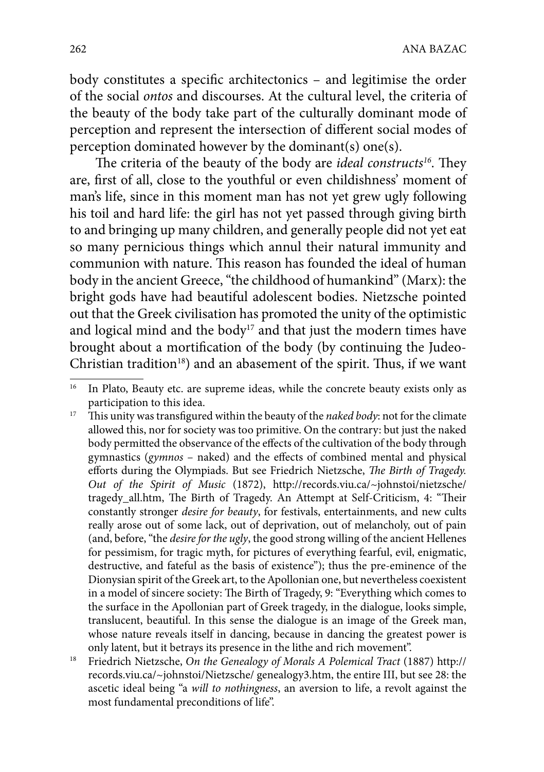body constitutes a specific architectonics – and legitimise the order of the social *ontos* and discourses. At the cultural level, the criteria of the beauty of the body take part of the culturally dominant mode of perception and represent the intersection of different social modes of perception dominated however by the dominant(s) one(s).

The criteria of the beauty of the body are *ideal constructs<sup>16</sup>*. They are, first of all, close to the youthful or even childishness' moment of man's life, since in this moment man has not yet grew ugly following his toil and hard life: the girl has not yet passed through giving birth to and bringing up many children, and generally people did not yet eat so many pernicious things which annul their natural immunity and communion with nature. This reason has founded the ideal of human body in the ancient Greece, "the childhood of humankind" (Marx): the bright gods have had beautiful adolescent bodies. Nietzsche pointed out that the Greek civilisation has promoted the unity of the optimistic and logical mind and the body<sup>17</sup> and that just the modern times have brought about a mortification of the body (by continuing the Judeo-Christian tradition $18$ ) and an abasement of the spirit. Thus, if we want

<sup>&</sup>lt;sup>16</sup> In Plato, Beauty etc. are supreme ideas, while the concrete beauty exists only as participation to this idea.

 $17$  This unity was transfigured within the beauty of the *naked body*: not for the climate allowed this, nor for society was too primitive. On the contrary: but just the naked body permitted the observance of the effects of the cultivation of the body through gymnastics (*gymnos* – naked) and the effects of combined mental and physical efforts during the Olympiads. But see Friedrich Nietzsche, *The Birth of Tragedy*. *Out of the Spirit of Music* (1872), http://records.viu.ca/~johnstoi/nietzsche/ tragedy\_all.htm, The Birth of Tragedy. An Attempt at Self-Criticism, 4: "Their constantly stronger *desire for beauty*, for festivals, entertainments, and new cults really arose out of some lack, out of deprivation, out of melancholy, out of pain (and, before, "the *desire for the ugly*, the good strong willing of the ancient Hellenes for pessimism, for tragic myth, for pictures of everything fearful, evil, enigmatic, destructive, and fateful as the basis of existence"); thus the pre-eminence of the Dionysian spirit of the Greek art, to the Apollonian one, but nevertheless coexistent in a model of sincere society: The Birth of Tragedy, 9: "Everything which comes to the surface in the Apollonian part of Greek tragedy, in the dialogue, looks simple, translucent, beautiful. In this sense the dialogue is an image of the Greek man, whose nature reveals itself in dancing, because in dancing the greatest power is only latent, but it betrays its presence in the lithe and rich movement".

<sup>18</sup> Friedrich Nietzsche, *On the Genealogy of Morals A Polemical Tract* (1887) http:// records.viu.ca/~johnstoi/Nietzsche/ genealogy3.htm, the entire III, but see 28: the ascetic ideal being "a *will to nothingness*, an aversion to life, a revolt against the most fundamental preconditions of life".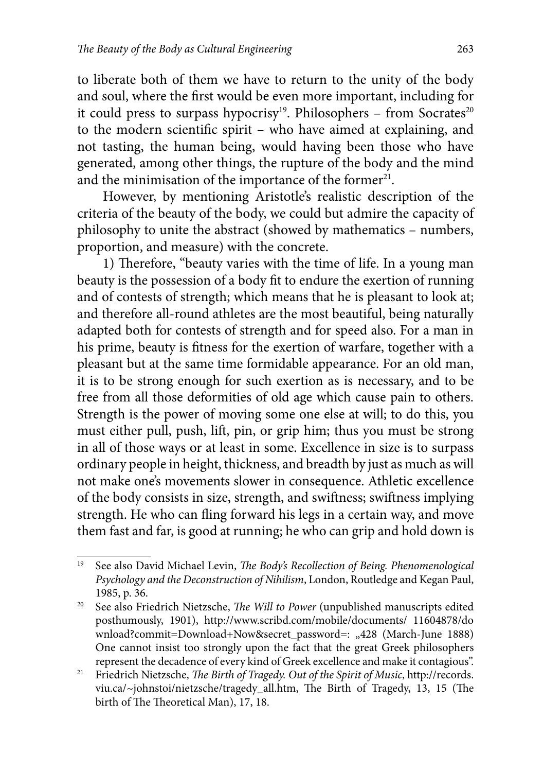to liberate both of them we have to return to the unity of the body and soul, where the first would be even more important, including for it could press to surpass hypocrisy<sup>19</sup>. Philosophers - from Socrates<sup>20</sup> to the modern scientific spirit – who have aimed at explaining, and not tasting, the human being, would having been those who have generated, among other things, the rupture of the body and the mind and the minimisation of the importance of the former $21$ .

However, by mentioning Aristotle's realistic description of the criteria of the beauty of the body, we could but admire the capacity of philosophy to unite the abstract (showed by mathematics – numbers, proportion, and measure) with the concrete.

1) Therefore, "beauty varies with the time of life. In a young man beauty is the possession of a body fit to endure the exertion of running and of contests of strength; which means that he is pleasant to look at; and therefore all-round athletes are the most beautiful, being naturally adapted both for contests of strength and for speed also. For a man in his prime, beauty is fitness for the exertion of warfare, together with a pleasant but at the same time formidable appearance. For an old man, it is to be strong enough for such exertion as is necessary, and to be free from all those deformities of old age which cause pain to others. Strength is the power of moving some one else at will; to do this, you must either pull, push, lift, pin, or grip him; thus you must be strong in all of those ways or at least in some. Excellence in size is to surpass ordinary people in height, thickness, and breadth by just as much as will not make one's movements slower in consequence. Athletic excellence of the body consists in size, strength, and swiftness; swiftness implying strength. He who can fling forward his legs in a certain way, and move them fast and far, is good at running; he who can grip and hold down is

<sup>&</sup>lt;sup>19</sup> See also David Michael Levin, *The Body's Recollection of Being. Phenomenological Psychology and the Deconstruction of Nihilism*, London, Routledge and Kegan Paul, 1985, p. 36.

<sup>&</sup>lt;sup>20</sup> See also Friedrich Nietzsche, *The Will to Power* (unpublished manuscripts edited posthumously, 1901), http://www.scribd.com/mobile/documents/ 11604878/do wnload?commit=Download+Now&secret\_password=: "428 (March-June 1888) One cannot insist too strongly upon the fact that the great Greek philosophers represent the decadence of every kind of Greek excellence and make it contagious".

<sup>&</sup>lt;sup>21</sup> Friedrich Nietzsche, *The Birth of Tragedy*. Out of the Spirit of Music, http://records. viu.ca/~johnstoi/nietzsche/tragedy all.htm, The Birth of Tragedy, 13, 15 (The birth of The Theoretical Man), 17, 18.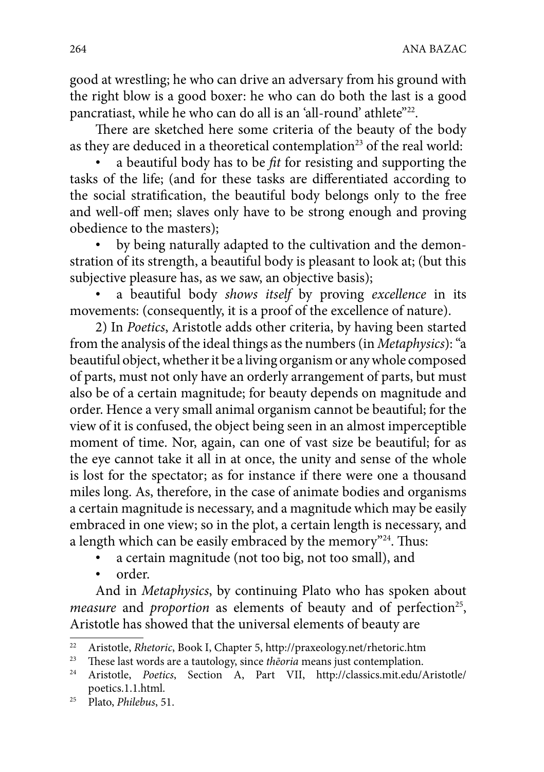good at wrestling; he who can drive an adversary from his ground with the right blow is a good boxer: he who can do both the last is a good pancratiast, while he who can do all is an 'all-round' athlete"<sup>22</sup>.

There are sketched here some criteria of the beauty of the body as they are deduced in a theoretical contemplation<sup>23</sup> of the real world:

a beautiful body has to be *fit* for resisting and supporting the tasks of the life; (and for these tasks are differentiated according to the social stratification, the beautiful body belongs only to the free and well-off men; slaves only have to be strong enough and proving obedience to the masters);

by being naturally adapted to the cultivation and the demonstration of its strength, a beautiful body is pleasant to look at; (but this subjective pleasure has, as we saw, an objective basis);

• a beautiful body *shows itself* by proving *excellence* in its movements: (consequently, it is a proof of the excellence of nature).

2) In *Poetics*, Aristotle adds other criteria, by having been started from the analysis of the ideal things as the numbers (in *Metaphysics*): "a beautiful object, whether it be a living organism or any whole composed of parts, must not only have an orderly arrangement of parts, but must also be of a certain magnitude; for beauty depends on magnitude and order. Hence a very small animal organism cannot be beautiful; for the view of it is confused, the object being seen in an almost imperceptible moment of time. Nor, again, can one of vast size be beautiful; for as the eye cannot take it all in at once, the unity and sense of the whole is lost for the spectator; as for instance if there were one a thousand miles long. As, therefore, in the case of animate bodies and organisms a certain magnitude is necessary, and a magnitude which may be easily embraced in one view; so in the plot, a certain length is necessary, and a length which can be easily embraced by the memory"<sup>24</sup>. Thus:

- a certain magnitude (not too big, not too small), and
- order.

And in *Metaphysics*, by continuing Plato who has spoken about *measure* and *proportion* as elements of beauty and of perfection<sup>25</sup>, Aristotle has showed that the universal elements of beauty are

<sup>22</sup> Aristotle, *Rhetoric*, Book I, Chapter 5, http://praxeology.net/rhetoric.htm

<sup>&</sup>lt;sup>23</sup> These last words are a tautology, since *theoria* means just contemplation.<br><sup>24</sup> Aristotla *Poetics* Section A Part VII http://classics.mit.edu/

<sup>24</sup> Aristotle, *Poetics*, Section A, Part VII, http://classics.mit.edu/Aristotle/ poetics.1.1.html. 25 Plato, *Philebus*, 51.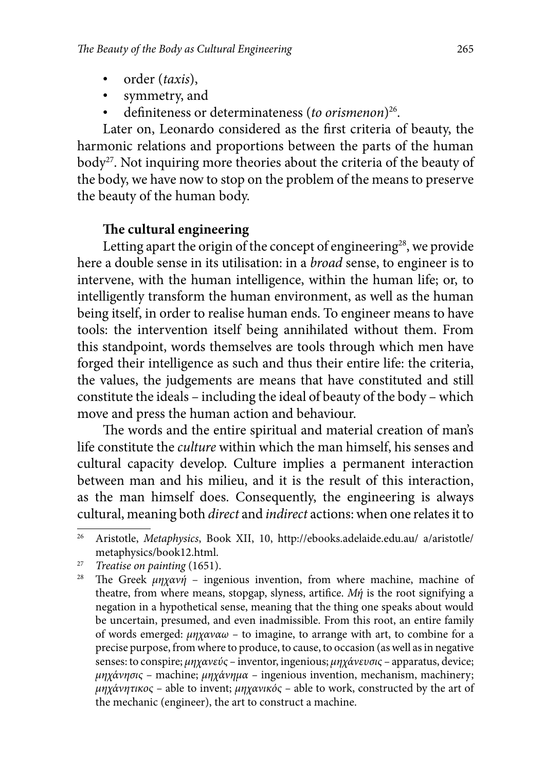- order (*taxis*),
- symmetry, and
- definiteness or determinateness (*to orismenon*)<sup>26</sup>.

Later on, Leonardo considered as the first criteria of beauty, the harmonic relations and proportions between the parts of the human body<sup>27</sup>. Not inquiring more theories about the criteria of the beauty of the body, we have now to stop on the problem of the means to preserve the beauty of the human body.

#### **The cultural engineering**

Letting apart the origin of the concept of engineering<sup>28</sup>, we provide here a double sense in its utilisation: in a *broad* sense, to engineer is to intervene, with the human intelligence, within the human life; or, to intelligently transform the human environment, as well as the human being itself, in order to realise human ends. To engineer means to have tools: the intervention itself being annihilated without them. From this standpoint, words themselves are tools through which men have forged their intelligence as such and thus their entire life: the criteria, the values, the judgements are means that have constituted and still constitute the ideals – including the ideal of beauty of the body – which move and press the human action and behaviour.

The words and the entire spiritual and material creation of man's life constitute the *culture* within which the man himself, his senses and cultural capacity develop. Culture implies a permanent interaction between man and his milieu, and it is the result of this interaction, as the man himself does. Consequently, the engineering is always cultural, meaning both *direct* and *indirect* actions: when one relates it to

<sup>26</sup> Aristotle, *Metaphysics*, Book XII, 10, http://ebooks.adelaide.edu.au/ a/aristotle/ metaphysics/book12.html.

<sup>27</sup> *Treatise on painting* (1651).

<sup>&</sup>lt;sup>28</sup> The Greek  $\mu\eta\chi\alpha\nu\dot{\eta}$  – ingenious invention, from where machine, machine of theatre, from where means, stopgap, slyness, artifice. *Μή* is the root signifying a negation in a hypothetical sense, meaning that the thing one speaks about would be uncertain, presumed, and even inadmissible. From this root, an entire family of words emerged: *μηχαναω –* to imagine, to arrange with art, to combine for a precise purpose, from where to produce, to cause, to occasion (as well as in negative senses: to conspire; *μηχανεύς –* inventor, ingenious; *μηχάνευσις –* apparatus, device; *μηχάνησις –* machine; *μηχάνημα –* ingenious invention, mechanism, machinery; *μηχάνητικoς –* able to invent; *μηχανικός –* able to work, constructed by the art of the mechanic (engineer), the art to construct a machine.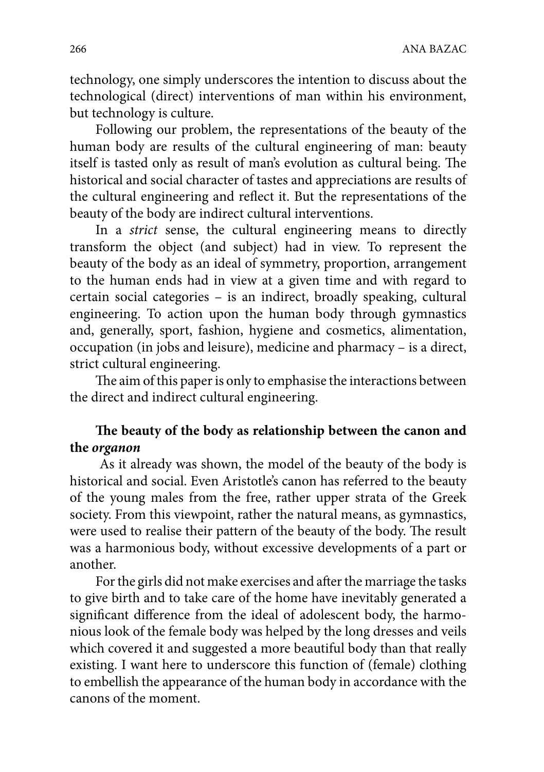technology, one simply underscores the intention to discuss about the technological (direct) interventions of man within his environment, but technology is culture.

Following our problem, the representations of the beauty of the human body are results of the cultural engineering of man: beauty itself is tasted only as result of man's evolution as cultural being. The historical and social character of tastes and appreciations are results of the cultural engineering and reflect it. But the representations of the beauty of the body are indirect cultural interventions.

In a *strict* sense, the cultural engineering means to directly transform the object (and subject) had in view. To represent the beauty of the body as an ideal of symmetry, proportion, arrangement to the human ends had in view at a given time and with regard to certain social categories – is an indirect, broadly speaking, cultural engineering. To action upon the human body through gymnastics and, generally, sport, fashion, hygiene and cosmetics, alimentation, occupation (in jobs and leisure), medicine and pharmacy – is a direct, strict cultural engineering.

The aim of this paper is only to emphasise the interactions between the direct and indirect cultural engineering.

# The beauty of the body as relationship between the canon and **the** *organon*

 As it already was shown, the model of the beauty of the body is historical and social. Even Aristotle's canon has referred to the beauty of the young males from the free, rather upper strata of the Greek society. From this viewpoint, rather the natural means, as gymnastics, were used to realise their pattern of the beauty of the body. The result was a harmonious body, without excessive developments of a part or another.

For the girls did not make exercises and after the marriage the tasks to give birth and to take care of the home have inevitably generated a significant difference from the ideal of adolescent body, the harmonious look of the female body was helped by the long dresses and veils which covered it and suggested a more beautiful body than that really existing. I want here to underscore this function of (female) clothing to embellish the appearance of the human body in accordance with the canons of the moment.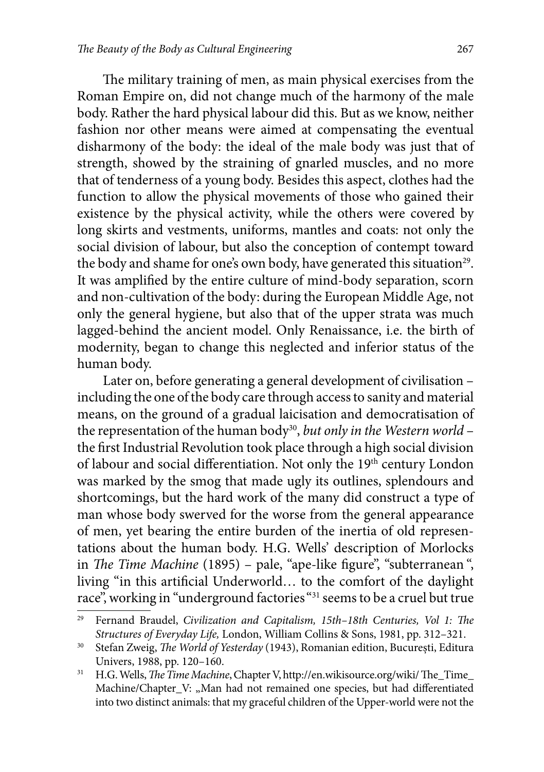The military training of men, as main physical exercises from the Roman Empire on, did not change much of the harmony of the male body. Rather the hard physical labour did this. But as we know, neither fashion nor other means were aimed at compensating the eventual disharmony of the body: the ideal of the male body was just that of strength, showed by the straining of gnarled muscles, and no more that of tenderness of a young body. Besides this aspect, clothes had the function to allow the physical movements of those who gained their existence by the physical activity, while the others were covered by long skirts and vestments, uniforms, mantles and coats: not only the social division of labour, but also the conception of contempt toward the body and shame for one's own body, have generated this situation<sup>29</sup>. It was amplified by the entire culture of mind-body separation, scorn and non-cultivation of the body: during the European Middle Age, not only the general hygiene, but also that of the upper strata was much lagged-behind the ancient model. Only Renaissance, i.e. the birth of modernity, began to change this neglected and inferior status of the human body.

Later on, before generating a general development of civilisation – including the one of the body care through access to sanity and material means, on the ground of a gradual laicisation and democratisation of the representation of the human body<sup>30</sup>, *but only in the Western world* – the first Industrial Revolution took place through a high social division of labour and social differentiation. Not only the 19<sup>th</sup> century London was marked by the smog that made ugly its outlines, splendours and shortcomings, but the hard work of the many did construct a type of man whose body swerved for the worse from the general appearance of men, yet bearing the entire burden of the inertia of old representations about the human body. H.G. Wells' description of Morlocks in *The Time Machine* (1895) – pale, "ape-like figure", "subterranean", living "in this artificial Underworld... to the comfort of the daylight race", working in "underground factories"<sup>31</sup> seems to be a cruel but true

<sup>&</sup>lt;sup>29</sup> Fernand Braudel, *Civilization and Capitalism*, 15th-18th Centuries, Vol 1: The *Structures of Everyday Life, London, William Collins & Sons, 1981, pp. 312–321.*<br><sup>30</sup> Stefan Zweig, *The World of Yesterday* (1943), Romanian edition, București, Editura

Univers, 1988, pp. 120–160.

<sup>&</sup>lt;sup>31</sup> H.G. Wells, *The Time Machine*, Chapter V, http://en.wikisource.org/wiki/The\_Time\_ Machine/Chapter V: "Man had not remained one species, but had differentiated into two distinct animals: that my graceful children of the Upper-world were not the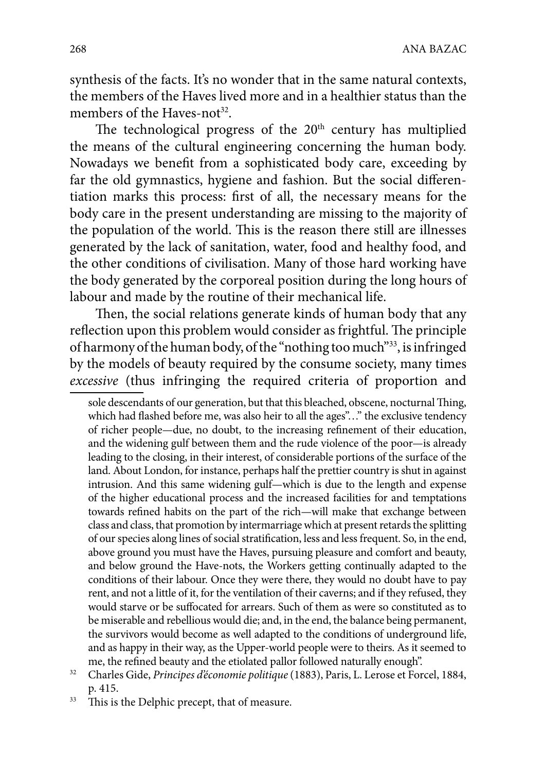268 ANA BAZAC

synthesis of the facts. It's no wonder that in the same natural contexts, the members of the Haves lived more and in a healthier status than the members of the Haves-not<sup>32</sup>.

The technological progress of the  $20<sup>th</sup>$  century has multiplied the means of the cultural engineering concerning the human body. Nowadays we benefit from a sophisticated body care, exceeding by far the old gymnastics, hygiene and fashion. But the social differentiation marks this process: first of all, the necessary means for the body care in the present understanding are missing to the majority of the population of the world. This is the reason there still are illnesses generated by the lack of sanitation, water, food and healthy food, and the other conditions of civilisation. Many of those hard working have the body generated by the corporeal position during the long hours of labour and made by the routine of their mechanical life.

Then, the social relations generate kinds of human body that any reflection upon this problem would consider as frightful. The principle of harmony of the human body, of the "nothing too much"33, is infringed by the models of beauty required by the consume society, many times *excessive* (thus infringing the required criteria of proportion and

<sup>33</sup> This is the Delphic precept, that of measure.

sole descendants of our generation, but that this bleached, obscene, nocturnal Thing, which had flashed before me, was also heir to all the ages"..." the exclusive tendency of richer people—due, no doubt, to the increasing refinement of their education, and the widening gulf between them and the rude violence of the poor—is already leading to the closing, in their interest, of considerable portions of the surface of the land. About London, for instance, perhaps half the prettier country is shut in against intrusion. And this same widening gulf—which is due to the length and expense of the higher educational process and the increased facilities for and temptations towards refined habits on the part of the rich—will make that exchange between class and class, that promotion by intermarriage which at present retards the splitting of our species along lines of social stratification, less and less frequent. So, in the end, above ground you must have the Haves, pursuing pleasure and comfort and beauty, and below ground the Have-nots, the Workers getting continually adapted to the conditions of their labour. Once they were there, they would no doubt have to pay rent, and not a little of it, for the ventilation of their caverns; and if they refused, they would starve or be suffocated for arrears. Such of them as were so constituted as to be miserable and rebellious would die; and, in the end, the balance being permanent, the survivors would become as well adapted to the conditions of underground life, and as happy in their way, as the Upper-world people were to theirs. As it seemed to me, the refined beauty and the etiolated pallor followed naturally enough".

<sup>32</sup> Charles Gide, *Principes d'économie politique* (1883), Paris, L. Lerose et Forcel, 1884, p. 415.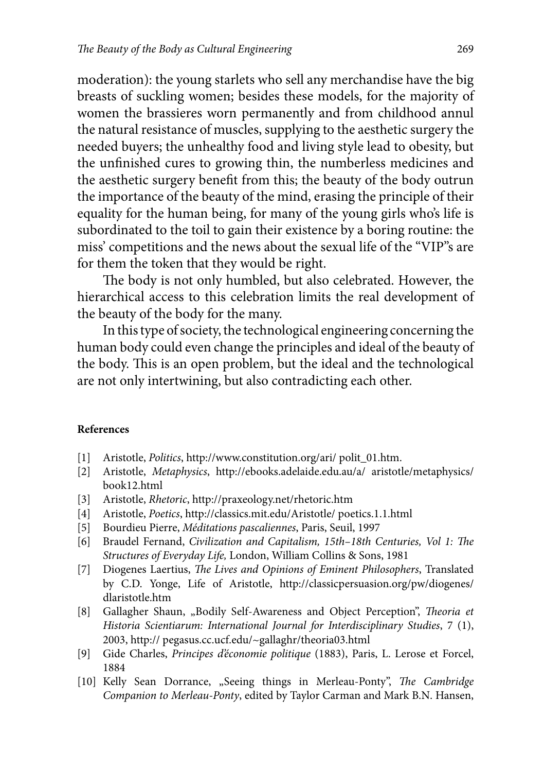moderation): the young starlets who sell any merchandise have the big breasts of suckling women; besides these models, for the majority of women the brassieres worn permanently and from childhood annul the natural resistance of muscles, supplying to the aesthetic surgery the needed buyers; the unhealthy food and living style lead to obesity, but the unfinished cures to growing thin, the numberless medicines and the aesthetic surgery benefit from this; the beauty of the body outrun the importance of the beauty of the mind, erasing the principle of their equality for the human being, for many of the young girls who's life is subordinated to the toil to gain their existence by a boring routine: the miss' competitions and the news about the sexual life of the "VIP"s are for them the token that they would be right.

The body is not only humbled, but also celebrated. However, the hierarchical access to this celebration limits the real development of the beauty of the body for the many.

In this type of society, the technological engineering concerning the human body could even change the principles and ideal of the beauty of the body. This is an open problem, but the ideal and the technological are not only intertwining, but also contradicting each other.

#### **References**

- [1] Aristotle, *Politics*, http://www.constitution.org/ari/ polit\_01.htm.
- [2] Aristotle, *Metaphysics*, http://ebooks.adelaide.edu.au/a/ aristotle/metaphysics/ book12.html
- [3] Aristotle, *Rhetoric*, http://praxeology.net/rhetoric.htm
- [4] Aristotle, *Poetics*, http://classics.mit.edu/Aristotle/ poetics.1.1.html
- [5] Bourdieu Pierre, *Méditations pascaliennes*, Paris, Seuil, 1997
- [6] Braudel Fernand, *Civilization and Capitalism*, 15th–18th Centuries, Vol 1: The *Structures of Everyday Life,* London, William Collins & Sons, 1981
- [7] Diogenes Laertius, *The Lives and Opinions of Eminent Philosophers*, Translated by C.D. Yonge, Life of Aristotle, http://classicpersuasion.org/pw/diogenes/ dlaristotle.htm
- [8] Gallagher Shaun, "Bodily Self-Awareness and Object Perception", *Theoria et Historia Scientiarum: International Journal for Interdisciplinary Studies*, 7 (1), 2003, http:// pegasus.cc.ucf.edu/~gallaghr/theoria03.html
- [9] Gide Charles, *Principes d'économie politique* (1883), Paris, L. Lerose et Forcel, 1884
- [10] Kelly Sean Dorrance, "Seeing things in Merleau-Ponty", *The Cambridge Companion to Merleau-Ponty*, edited by Taylor Carman and Mark B.N. Hansen,